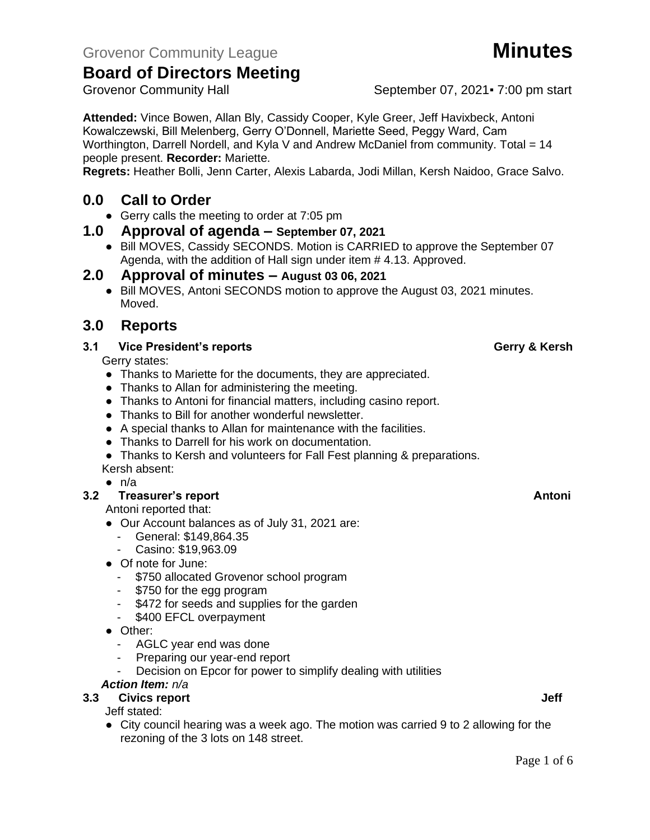Grovenor Community Hall September 07, 2021 • 7:00 pm start

**Attended:** Vince Bowen, Allan Bly, Cassidy Cooper, Kyle Greer, Jeff Havixbeck, Antoni Kowalczewski, Bill Melenberg, Gerry O'Donnell, Mariette Seed, Peggy Ward, Cam Worthington, Darrell Nordell, and Kyla V and Andrew McDaniel from community. Total = 14

people present. **Recorder:** Mariette.

**Regrets:** Heather Bolli, Jenn Carter, Alexis Labarda, Jodi Millan, Kersh Naidoo, Grace Salvo.

# **0.0 Call to Order**

● Gerry calls the meeting to order at 7:05 pm

# **1.0 Approval of agenda – September 07, 2021**

● Bill MOVES, Cassidy SECONDS. Motion is CARRIED to approve the September 07 Agenda, with the addition of Hall sign under item # 4.13. Approved.

# **2.0 Approval of minutes – August 03 06, 2021**

● Bill MOVES, Antoni SECONDS motion to approve the August 03, 2021 minutes. Moved.

# **3.0 Reports**

# **3.1 Vice President's reports Gerry & Kersh**

Gerry states:

- Thanks to Mariette for the documents, they are appreciated.
- Thanks to Allan for administering the meeting.
- Thanks to Antoni for financial matters, including casino report.
- Thanks to Bill for another wonderful newsletter.
- A special thanks to Allan for maintenance with the facilities.
- Thanks to Darrell for his work on documentation.
- Thanks to Kersh and volunteers for Fall Fest planning & preparations.
- Kersh absent:
- $\bullet$  n/a

# **3.2 Treasurer's report Antonic Street Antonic Street Antonic Street Antonic Antonic Antonic Antonic Antonic Antoni**

Antoni reported that:

- Our Account balances as of July 31, 2021 are:
	- General: \$149,864.35
	- Casino: \$19,963.09
- Of note for June:
	- \$750 allocated Grovenor school program
	- \$750 for the egg program
	- \$472 for seeds and supplies for the garden
	- \$400 EFCL overpayment
- Other:
	- AGLC year end was done
	- Preparing our year-end report
	- Decision on Epcor for power to simplify dealing with utilities

# *Action Item: n/a*

- **3.3** Civics report **Jeff** Jeff stated:
	- City council hearing was a week ago. The motion was carried 9 to 2 allowing for the rezoning of the 3 lots on 148 street.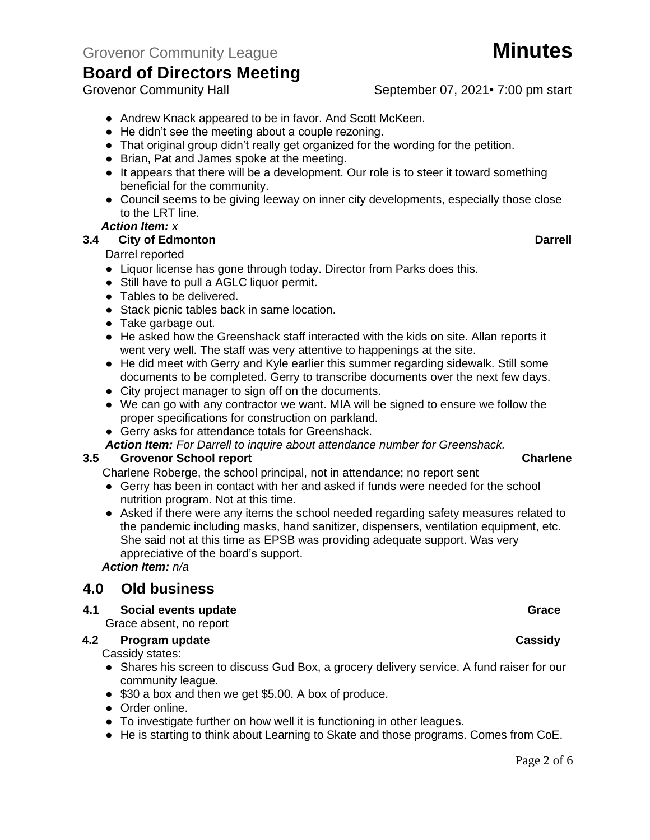- Andrew Knack appeared to be in favor. And Scott McKeen.
- He didn't see the meeting about a couple rezoning.
- That original group didn't really get organized for the wording for the petition.
- Brian, Pat and James spoke at the meeting.
- It appears that there will be a development. Our role is to steer it toward something beneficial for the community.
- Council seems to be giving leeway on inner city developments, especially those close to the LRT line.

### *Action Item: x*

### **3.4 City of Edmonton Darrell**

### Darrel reported

- Liquor license has gone through today. Director from Parks does this.
- Still have to pull a AGLC liquor permit.
- Tables to be delivered.
- Stack picnic tables back in same location.
- Take garbage out.
- He asked how the Greenshack staff interacted with the kids on site. Allan reports it went very well. The staff was very attentive to happenings at the site.
- He did meet with Gerry and Kyle earlier this summer regarding sidewalk. Still some documents to be completed. Gerry to transcribe documents over the next few days.
- City project manager to sign off on the documents.
- We can go with any contractor we want. MIA will be signed to ensure we follow the proper specifications for construction on parkland.
- Gerry asks for attendance totals for Greenshack.

*Action Item: For Darrell to inquire about attendance number for Greenshack.*

### **3.5 Grovenor School report Charlene**

Charlene Roberge, the school principal, not in attendance; no report sent

- Gerry has been in contact with her and asked if funds were needed for the school nutrition program. Not at this time.
- Asked if there were any items the school needed regarding safety measures related to the pandemic including masks, hand sanitizer, dispensers, ventilation equipment, etc. She said not at this time as EPSB was providing adequate support. Was very appreciative of the board's support.

*Action Item: n/a*

# **4.0 Old business**

### **4.1 Social events update Grace**

Grace absent, no report

### **4.2 Program update Cassidy**

Cassidy states:

- Shares his screen to discuss Gud Box, a grocery delivery service. A fund raiser for our community league.
- \$30 a box and then we get \$5.00. A box of produce.
- Order online.
- To investigate further on how well it is functioning in other leagues.
- He is starting to think about Learning to Skate and those programs. Comes from CoE.

# Grovenor Community Hall September 07, 2021 - 7:00 pm start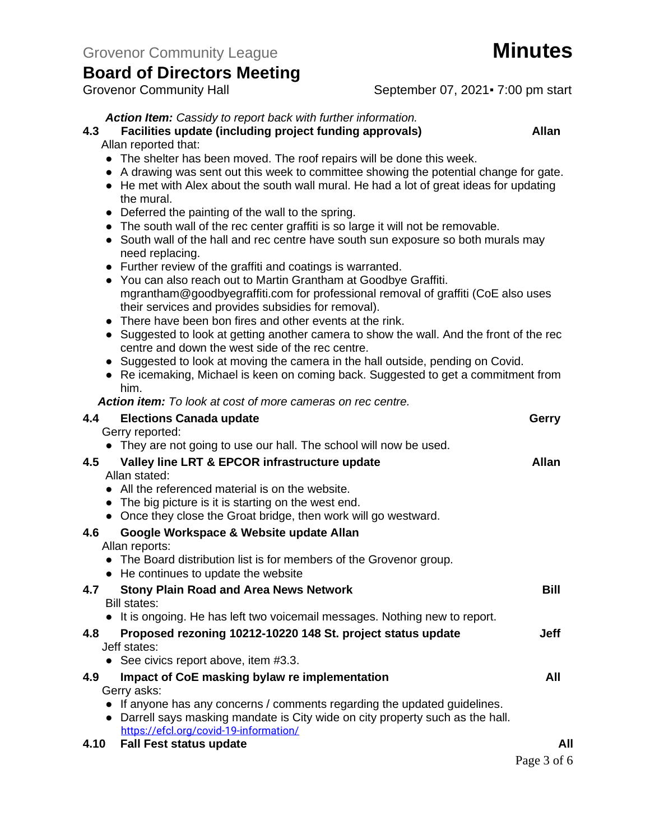# Grovenor Community Hall September 07, 2021 - 7:00 pm start

# *Action Item: Cassidy to report back with further information.*

# **4.3 Facilities update (including project funding approvals) Allan**

Allan reported that:

- The shelter has been moved. The roof repairs will be done this week.
- A drawing was sent out this week to committee showing the potential change for gate.
- He met with Alex about the south wall mural. He had a lot of great ideas for updating the mural.
- Deferred the painting of the wall to the spring.
- The south wall of the rec center graffiti is so large it will not be removable.
- South wall of the hall and rec centre have south sun exposure so both murals may need replacing.
- Further review of the graffiti and coatings is warranted.
- You can also reach out to Martin Grantham at Goodbye Graffiti. [mgrantham@goodbyegraffiti.com](mailto:mgrantham@goodbyegraffiti.com) for professional removal of graffiti (CoE also uses their services and provides subsidies for removal).
- There have been bon fires and other events at the rink.
- Suggested to look at getting another camera to show the wall. And the front of the rec centre and down the west side of the rec centre.
- Suggested to look at moving the camera in the hall outside, pending on Covid.
- Re icemaking, Michael is keen on coming back. Suggested to get a commitment from him.

*Action item: To look at cost of more cameras on rec centre.* 

|      | 4.4 Elections Canada update                                                                                              | Gerry        |
|------|--------------------------------------------------------------------------------------------------------------------------|--------------|
|      | Gerry reported:<br>• They are not going to use our hall. The school will now be used.                                    |              |
| 4.5  | Valley line LRT & EPCOR infrastructure update                                                                            | <b>Allan</b> |
|      | Allan stated:                                                                                                            |              |
|      | • All the referenced material is on the website.                                                                         |              |
|      | • The big picture is it is starting on the west end.                                                                     |              |
|      | • Once they close the Groat bridge, then work will go westward.                                                          |              |
| 4.6  | Google Workspace & Website update Allan                                                                                  |              |
|      | Allan reports:                                                                                                           |              |
|      | • The Board distribution list is for members of the Grovenor group.                                                      |              |
|      | • He continues to update the website                                                                                     |              |
| 4.7  | <b>Stony Plain Road and Area News Network</b>                                                                            | <b>Bill</b>  |
|      | Bill states:                                                                                                             |              |
|      | • It is ongoing. He has left two voicemail messages. Nothing new to report.                                              |              |
| 4.8  | Proposed rezoning 10212-10220 148 St. project status update                                                              | Jeff         |
|      | Jeff states:                                                                                                             |              |
|      | • See civics report above, item $#3.3$ .                                                                                 |              |
| 4.9  | Impact of CoE masking bylaw re implementation                                                                            | All          |
|      | Gerry asks:                                                                                                              |              |
|      | If anyone has any concerns / comments regarding the updated guidelines.                                                  |              |
|      | • Darrell says masking mandate is City wide on city property such as the hall.<br>https://efcl.org/covid-19-information/ |              |
| 4.10 | <b>Fall Fest status update</b>                                                                                           | All          |
|      |                                                                                                                          |              |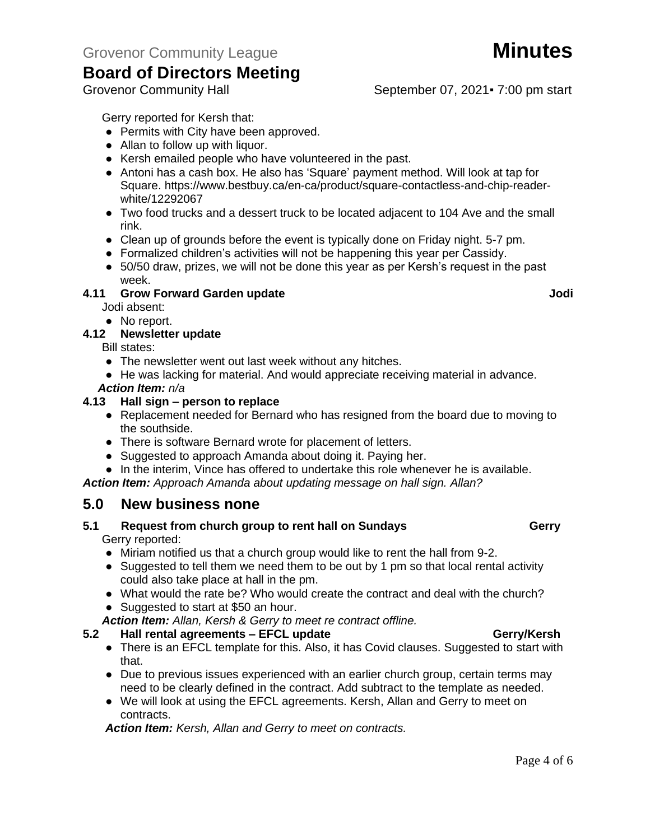# Grovenor Community Hall September 07, 2021 - 7:00 pm start

Gerry reported for Kersh that:

- Permits with City have been approved.
- Allan to follow up with liquor.
- Kersh emailed people who have volunteered in the past.
- Antoni has a cash box. He also has 'Square' payment method. Will look at tap for Square. [https://www.bestbuy.ca/en-ca/product/square-contactless-and-chip-reader](https://www.bestbuy.ca/en-ca/product/square-contactless-and-chip-reader-white/12292067)[white/12292067](https://www.bestbuy.ca/en-ca/product/square-contactless-and-chip-reader-white/12292067)
- Two food trucks and a dessert truck to be located adjacent to 104 Ave and the small rink.
- Clean up of grounds before the event is typically done on Friday night. 5-7 pm.
- Formalized children's activities will not be happening this year per Cassidy.
- 50/50 draw, prizes, we will not be done this year as per Kersh's request in the past week.

# **4.11 Grow Forward Garden update Jodi**

Jodi absent:

● No report.

# **4.12 Newsletter update**

Bill states:

- The newsletter went out last week without any hitches.
- He was lacking for material. And would appreciate receiving material in advance.

*Action Item: n/a*

### **4.13 Hall sign – person to replace**

- Replacement needed for Bernard who has resigned from the board due to moving to the southside.
- There is software Bernard wrote for placement of letters.
- Suggested to approach Amanda about doing it. Paying her.
- In the interim, Vince has offered to undertake this role whenever he is available.

*Action Item: Approach Amanda about updating message on hall sign. Allan?*

# **5.0 New business none**

# **5.1 Request from church group to rent hall on Sundays Gerry**

Gerry reported:

- Miriam notified us that a church group would like to rent the hall from 9-2.
- Suggested to tell them we need them to be out by 1 pm so that local rental activity could also take place at hall in the pm.
- What would the rate be? Who would create the contract and deal with the church?
- Suggested to start at \$50 an hour.

*Action Item: Allan, Kersh & Gerry to meet re contract offline.*

### **5.2 Hall rental agreements – EFCL update Gerry/Kersh**

- There is an EFCL template for this. Also, it has Covid clauses. Suggested to start with that.
- Due to previous issues experienced with an earlier church group, certain terms may need to be clearly defined in the contract. Add subtract to the template as needed.
- We will look at using the EFCL agreements. Kersh, Allan and Gerry to meet on contracts.

*Action Item: Kersh, Allan and Gerry to meet on contracts.*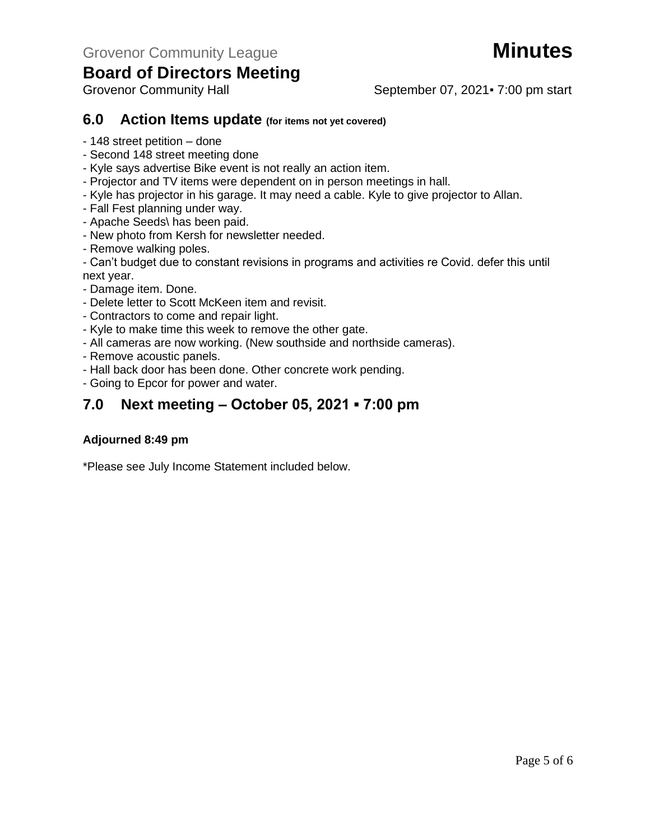# Grovenor Community Hall September 07, 2021 - 7:00 pm start

# **6.0 Action Items update (for items not yet covered)**

- 148 street petition done
- Second 148 street meeting done
- Kyle says advertise Bike event is not really an action item.
- Projector and TV items were dependent on in person meetings in hall.
- Kyle has projector in his garage. It may need a cable. Kyle to give projector to Allan.
- Fall Fest planning under way.
- Apache Seeds\ has been paid.
- New photo from Kersh for newsletter needed.
- Remove walking poles.
- Can't budget due to constant revisions in programs and activities re Covid. defer this until next year.
- Damage item. Done.
- Delete letter to Scott McKeen item and revisit.
- Contractors to come and repair light.
- Kyle to make time this week to remove the other gate.
- All cameras are now working. (New southside and northside cameras).
- Remove acoustic panels.
- Hall back door has been done. Other concrete work pending.
- Going to Epcor for power and water.

# **7.0 Next meeting – October 05, 2021 ▪ 7:00 pm**

### **Adjourned 8:49 pm**

\*Please see July Income Statement included below.